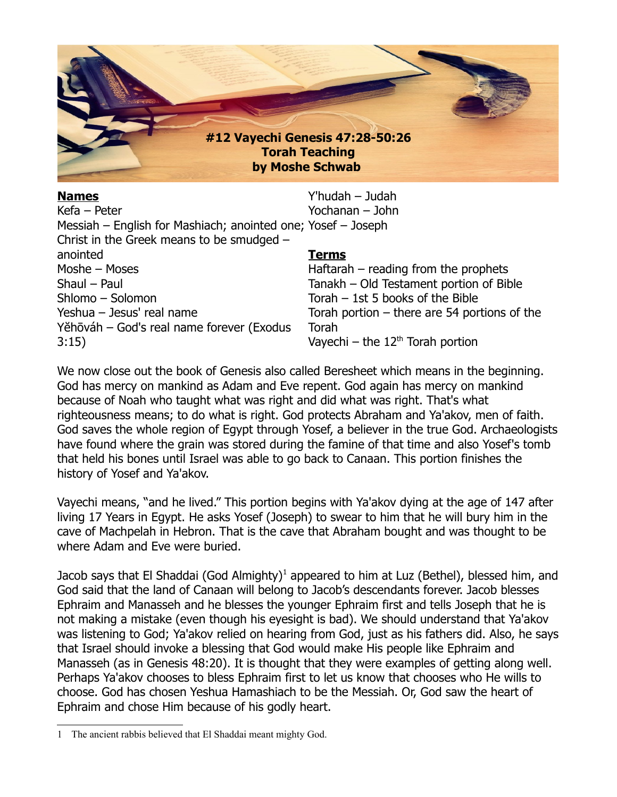

| <b>Names</b>                                                 | Y'hudah - Judah                                |
|--------------------------------------------------------------|------------------------------------------------|
| Kefa - Peter                                                 | Yochanan - John                                |
| Messiah – English for Mashiach; anointed one; Yosef – Joseph |                                                |
| Christ in the Greek means to be smudged -                    |                                                |
| anointed                                                     | <b>Terms</b>                                   |
| Moshe - Moses                                                | Haftarah $-$ reading from the prophets         |
| Shaul - Paul                                                 | Tanakh - Old Testament portion of Bible        |
| Shlomo - Solomon                                             | Torah $-$ 1st 5 books of the Bible             |
| Yeshua - Jesus' real name                                    | Torah portion $-$ there are 54 portions of the |
| Yěhōváh – God's real name forever (Exodus                    | Torah                                          |
| 3:15)                                                        | Vayechi – the $12^{th}$ Torah portion          |

We now close out the book of Genesis also called Beresheet which means in the beginning. God has mercy on mankind as Adam and Eve repent. God again has mercy on mankind because of Noah who taught what was right and did what was right. That's what righteousness means; to do what is right. God protects Abraham and Ya'akov, men of faith. God saves the whole region of Egypt through Yosef, a believer in the true God. Archaeologists have found where the grain was stored during the famine of that time and also Yosef's tomb that held his bones until Israel was able to go back to Canaan. This portion finishes the history of Yosef and Ya'akov.

Vayechi means, "and he lived." This portion begins with Ya'akov dying at the age of 147 after living 17 Years in Egypt. He asks Yosef (Joseph) to swear to him that he will bury him in the cave of Machpelah in Hebron. That is the cave that Abraham bought and was thought to be where Adam and Eve were buried.

Jacob says that El Shaddai (God Almighty)<sup>[1](#page-0-0)</sup> appeared to him at Luz (Bethel), blessed him, and God said that the land of Canaan will belong to Jacob's descendants forever. Jacob blesses Ephraim and Manasseh and he blesses the younger Ephraim first and tells Joseph that he is not making a mistake (even though his eyesight is bad). We should understand that Ya'akov was listening to God; Ya'akov relied on hearing from God, just as his fathers did. Also, he says that Israel should invoke a blessing that God would make His people like Ephraim and Manasseh (as in Genesis 48:20). It is thought that they were examples of getting along well. Perhaps Ya'akov chooses to bless Ephraim first to let us know that chooses who He wills to choose. God has chosen Yeshua Hamashiach to be the Messiah. Or, God saw the heart of Ephraim and chose Him because of his godly heart.

<span id="page-0-0"></span><sup>1</sup> The ancient rabbis believed that El Shaddai meant mighty God.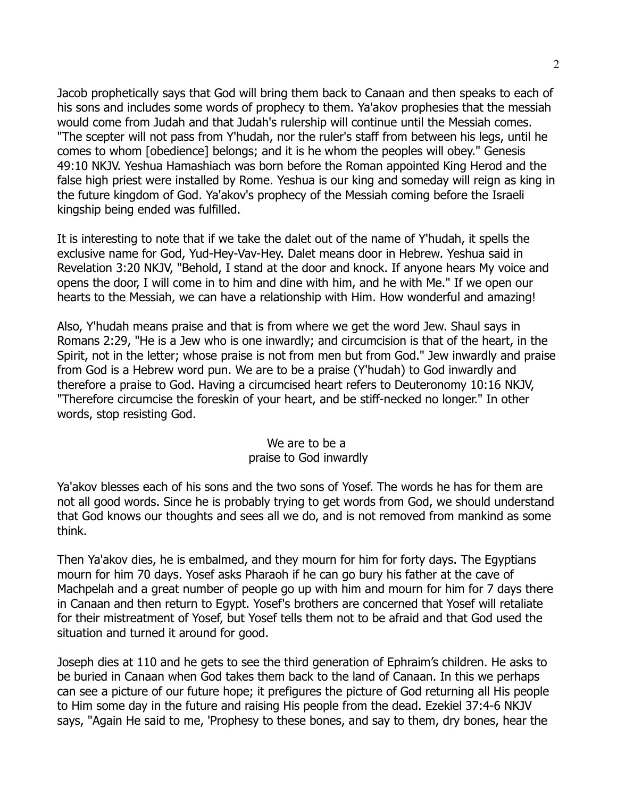Jacob prophetically says that God will bring them back to Canaan and then speaks to each of his sons and includes some words of prophecy to them. Ya'akov prophesies that the messiah would come from Judah and that Judah's rulership will continue until the Messiah comes. "The scepter will not pass from Y'hudah, nor the ruler's staff from between his legs, until he comes to whom [obedience] belongs; and it is he whom the peoples will obey." Genesis 49:10 NKJV. Yeshua Hamashiach was born before the Roman appointed King Herod and the false high priest were installed by Rome. Yeshua is our king and someday will reign as king in the future kingdom of God. Ya'akov's prophecy of the Messiah coming before the Israeli kingship being ended was fulfilled.

It is interesting to note that if we take the dalet out of the name of Y'hudah, it spells the exclusive name for God, Yud-Hey-Vav-Hey. Dalet means door in Hebrew. Yeshua said in Revelation 3:20 NKJV, "Behold, I stand at the door and knock. If anyone hears My voice and opens the door, I will come in to him and dine with him, and he with Me." If we open our hearts to the Messiah, we can have a relationship with Him. How wonderful and amazing!

Also, Y'hudah means praise and that is from where we get the word Jew. Shaul says in Romans 2:29, "He is a Jew who is one inwardly; and circumcision is that of the heart, in the Spirit, not in the letter; whose praise is not from men but from God." Jew inwardly and praise from God is a Hebrew word pun. We are to be a praise (Y'hudah) to God inwardly and therefore a praise to God. Having a circumcised heart refers to Deuteronomy 10:16 NKJV, "Therefore circumcise the foreskin of your heart, and be stiff-necked no longer." In other words, stop resisting God.

## We are to be a praise to God inwardly

Ya'akov blesses each of his sons and the two sons of Yosef. The words he has for them are not all good words. Since he is probably trying to get words from God, we should understand that God knows our thoughts and sees all we do, and is not removed from mankind as some think.

Then Ya'akov dies, he is embalmed, and they mourn for him for forty days. The Egyptians mourn for him 70 days. Yosef asks Pharaoh if he can go bury his father at the cave of Machpelah and a great number of people go up with him and mourn for him for 7 days there in Canaan and then return to Egypt. Yosef's brothers are concerned that Yosef will retaliate for their mistreatment of Yosef, but Yosef tells them not to be afraid and that God used the situation and turned it around for good.

Joseph dies at 110 and he gets to see the third generation of Ephraim's children. He asks to be buried in Canaan when God takes them back to the land of Canaan. In this we perhaps can see a picture of our future hope; it prefigures the picture of God returning all His people to Him some day in the future and raising His people from the dead. Ezekiel 37:4-6 NKJV says, "Again He said to me, 'Prophesy to these bones, and say to them, dry bones, hear the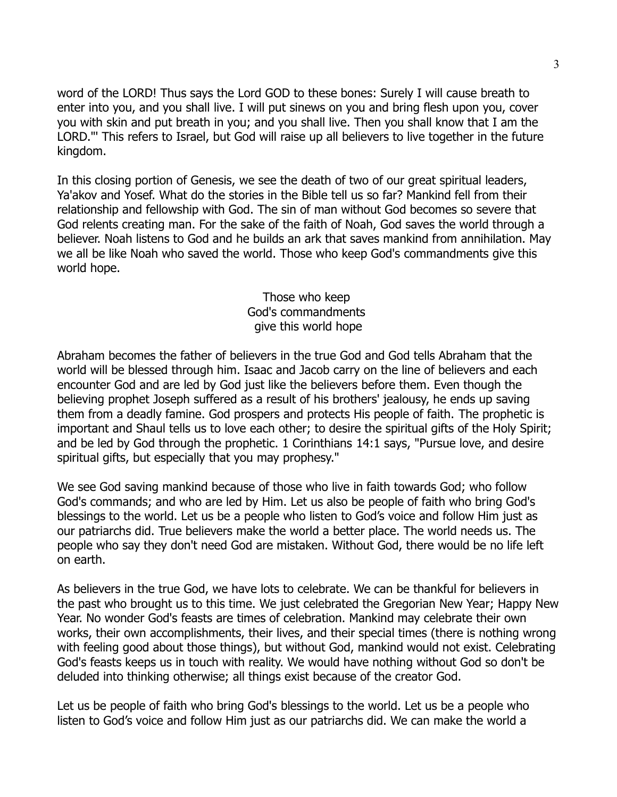word of the LORD! Thus says the Lord GOD to these bones: Surely I will cause breath to enter into you, and you shall live. I will put sinews on you and bring flesh upon you, cover you with skin and put breath in you; and you shall live. Then you shall know that I am the LORD."' This refers to Israel, but God will raise up all believers to live together in the future kingdom.

In this closing portion of Genesis, we see the death of two of our great spiritual leaders, Ya'akov and Yosef. What do the stories in the Bible tell us so far? Mankind fell from their relationship and fellowship with God. The sin of man without God becomes so severe that God relents creating man. For the sake of the faith of Noah, God saves the world through a believer. Noah listens to God and he builds an ark that saves mankind from annihilation. May we all be like Noah who saved the world. Those who keep God's commandments give this world hope.

> Those who keep God's commandments give this world hope

Abraham becomes the father of believers in the true God and God tells Abraham that the world will be blessed through him. Isaac and Jacob carry on the line of believers and each encounter God and are led by God just like the believers before them. Even though the believing prophet Joseph suffered as a result of his brothers' jealousy, he ends up saving them from a deadly famine. God prospers and protects His people of faith. The prophetic is important and Shaul tells us to love each other; to desire the spiritual gifts of the Holy Spirit; and be led by God through the prophetic. 1 Corinthians 14:1 says, "Pursue love, and desire spiritual gifts, but especially that you may prophesy."

We see God saving mankind because of those who live in faith towards God; who follow God's commands; and who are led by Him. Let us also be people of faith who bring God's blessings to the world. Let us be a people who listen to God's voice and follow Him just as our patriarchs did. True believers make the world a better place. The world needs us. The people who say they don't need God are mistaken. Without God, there would be no life left on earth.

As believers in the true God, we have lots to celebrate. We can be thankful for believers in the past who brought us to this time. We just celebrated the Gregorian New Year; Happy New Year. No wonder God's feasts are times of celebration. Mankind may celebrate their own works, their own accomplishments, their lives, and their special times (there is nothing wrong with feeling good about those things), but without God, mankind would not exist. Celebrating God's feasts keeps us in touch with reality. We would have nothing without God so don't be deluded into thinking otherwise; all things exist because of the creator God.

Let us be people of faith who bring God's blessings to the world. Let us be a people who listen to God's voice and follow Him just as our patriarchs did. We can make the world a